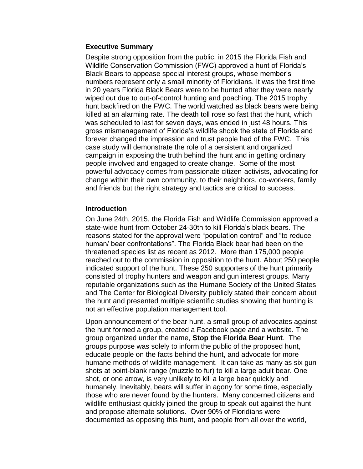## **Executive Summary**

Despite strong opposition from the public, in 2015 the Florida Fish and Wildlife Conservation Commission (FWC) approved a hunt of Florida's Black Bears to appease special interest groups, whose member's numbers represent only a small minority of Floridians. It was the first time in 20 years Florida Black Bears were to be hunted after they were nearly wiped out due to out-of-control hunting and poaching. The 2015 trophy hunt backfired on the FWC. The world watched as black bears were being killed at an alarming rate. The death toll rose so fast that the hunt, which was scheduled to last for seven days, was ended in just 48 hours. This gross mismanagement of Florida's wildlife shook the state of Florida and forever changed the impression and trust people had of the FWC. This case study will demonstrate the role of a persistent and organized campaign in exposing the truth behind the hunt and in getting ordinary people involved and engaged to create change. Some of the most powerful advocacy comes from passionate citizen-activists, advocating for change within their own community, to their neighbors, co-workers, family and friends but the right strategy and tactics are critical to success.

## **Introduction**

On June 24th, 2015, the Florida Fish and Wildlife Commission approved a state-wide hunt from October 24-30th to kill Florida's black bears. The reasons stated for the approval were "population control" and "to reduce human/ bear confrontations". The Florida Black bear had been on the threatened species list as recent as 2012. More than 175,000 people reached out to the commission in opposition to the hunt. About 250 people indicated support of the hunt. These 250 supporters of the hunt primarily consisted of trophy hunters and weapon and gun interest groups. Many reputable organizations such as the Humane Society of the United States and The Center for Biological Diversity publicly stated their concern about the hunt and presented multiple scientific studies showing that hunting is not an effective population management tool.

Upon announcement of the bear hunt, a small group of advocates against the hunt formed a group, created a Facebook page and a website. The group organized under the name, **Stop the Florida Bear Hunt**. The groups purpose was solely to inform the public of the proposed hunt, educate people on the facts behind the hunt, and advocate for more humane methods of wildlife management. It can take as many as six gun shots at point-blank range (muzzle to fur) to kill a large adult bear. One shot, or one arrow, is very unlikely to kill a large bear quickly and humanely. Inevitably, bears will suffer in agony for some time, especially those who are never found by the hunters. Many concerned citizens and wildlife enthusiast quickly joined the group to speak out against the hunt and propose alternate solutions. Over 90% of Floridians were documented as opposing this hunt, and people from all over the world,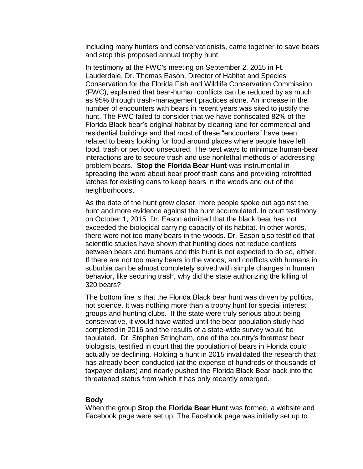including many hunters and conservationists, came together to save bears and stop this proposed annual trophy hunt.

In testimony at the FWC's meeting on September 2, 2015 in Ft. Lauderdale, Dr. Thomas Eason, Director of Habitat and Species Conservation for the Florida Fish and Wildlife Conservation Commission (FWC), explained that bear-human conflicts can be reduced by as much as 95% through trash-management practices alone. An increase in the number of encounters with bears in recent years was sited to justify the hunt. The FWC failed to consider that we have confiscated 82% of the Florida Black bear's original habitat by clearing land for commercial and residential buildings and that most of these "encounters" have been related to bears looking for food around places where people have left food, trash or pet food unsecured. The best ways to minimize human-bear interactions are to secure trash and use nonlethal methods of addressing problem bears. **Stop the Florida Bear Hunt** was instrumental in spreading the word about bear proof trash cans and providing retrofitted latches for existing cans to keep bears in the woods and out of the neighborhoods.

As the date of the hunt grew closer, more people spoke out against the hunt and more evidence against the hunt accumulated. In court testimony on October 1, 2015, Dr. Eason admitted that the black bear has not exceeded the biological carrying capacity of its habitat. In other words, there were not too many bears in the woods. Dr. Eason also testified that scientific studies have shown that hunting does not reduce conflicts between bears and humans and this hunt is not expected to do so, either. If there are not too many bears in the woods, and conflicts with humans in suburbia can be almost completely solved with simple changes in human behavior, like securing trash, why did the state authorizing the killing of 320 bears?

The bottom line is that the Florida Black bear hunt was driven by politics, not science. It was nothing more than a trophy hunt for special interest groups and hunting clubs. If the state were truly serious about being conservative, it would have waited until the bear population study had completed in 2016 and the results of a state-wide survey would be tabulated. Dr. Stephen Stringham, one of the country's foremost bear biologists, testified in court that the population of bears in Florida could actually be declining. Holding a hunt in 2015 invalidated the research that has already been conducted (at the expense of hundreds of thousands of taxpayer dollars) and nearly pushed the Florida Black Bear back into the threatened status from which it has only recently emerged.

#### **Body**

When the group **Stop the Florida Bear Hunt** was formed, a website and Facebook page were set up. The Facebook page was initially set up to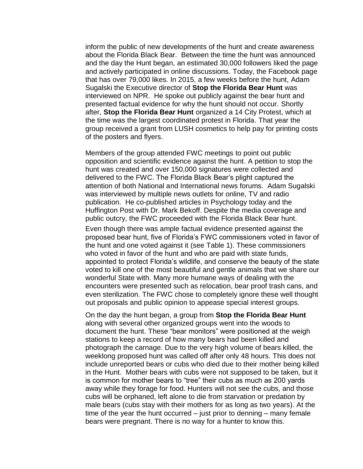inform the public of new developments of the hunt and create awareness about the Florida Black Bear. Between the time the hunt was announced and the day the Hunt began, an estimated 30,000 followers liked the page and actively participated in online discussions. Today, the Facebook page that has over 79,000 likes. In 2015, a few weeks before the hunt, Adam Sugalski the Executive director of **Stop the Florida Bear Hunt** was interviewed on NPR. He spoke out publicly against the bear hunt and presented factual evidence for why the hunt should not occur. Shortly after, **Stop the Florida Bear Hunt** organized a 14 City Protest, which at the time was the largest coordinated protest in Florida. That year the group received a grant from LUSH cosmetics to help pay for printing costs of the posters and flyers.

Members of the group attended FWC meetings to point out public opposition and scientific evidence against the hunt. A petition to stop the hunt was created and over 150,000 signatures were collected and delivered to the FWC. The Florida Black Bear's plight captured the attention of both National and International news forums. Adam Sugalski was interviewed by multiple news outlets for online, TV and radio publication. He co-published articles in Psychology today and the Huffington Post with Dr. Mark Bekoff. Despite the media coverage and public outcry, the FWC proceeded with the Florida Black Bear hunt.

Even though there was ample factual evidence presented against the proposed bear hunt, five of Florida's FWC commissioners voted in favor of the hunt and one voted against it (see Table 1). These commissioners who voted in favor of the hunt and who are paid with state funds, appointed to protect Florida's wildlife, and conserve the beauty of the state voted to kill one of the most beautiful and gentle animals that we share our wonderful State with. Many more humane ways of dealing with the encounters were presented such as relocation, bear proof trash cans, and even sterilization. The FWC chose to completely ignore these well thought out proposals and public opinion to appease special interest groups.

On the day the hunt began, a group from **Stop the Florida Bear Hunt** along with several other organized groups went into the woods to document the hunt. These "bear monitors" were positioned at the weigh stations to keep a record of how many bears had been killed and photograph the carnage. Due to the very high volume of bears killed, the weeklong proposed hunt was called off after only 48 hours. This does not include unreported bears or cubs who died due to their mother being killed in the Hunt. Mother bears with cubs were not supposed to be taken, but it is common for mother bears to "tree" their cubs as much as 200 yards away while they forage for food. Hunters will not see the cubs, and those cubs will be orphaned, left alone to die from starvation or predation by male bears (cubs stay with their mothers for as long as two years). At the time of the year the hunt occurred – just prior to denning – many female bears were pregnant. There is no way for a hunter to know this.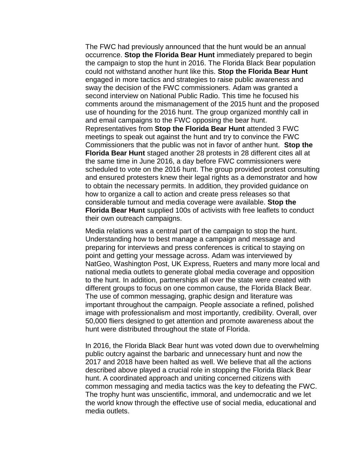The FWC had previously announced that the hunt would be an annual occurrence. **Stop the Florida Bear Hunt** immediately prepared to begin the campaign to stop the hunt in 2016. The Florida Black Bear population could not withstand another hunt like this. **Stop the Florida Bear Hunt** engaged in more tactics and strategies to raise public awareness and sway the decision of the FWC commissioners. Adam was granted a second interview on National Public Radio. This time he focused his comments around the mismanagement of the 2015 hunt and the proposed use of hounding for the 2016 hunt. The group organized monthly call in and email campaigns to the FWC opposing the bear hunt. Representatives from **Stop the Florida Bear Hunt** attended 3 FWC meetings to speak out against the hunt and try to convince the FWC Commissioners that the public was not in favor of anther hunt. **Stop the Florida Bear Hunt** staged another 28 protests in 28 different cites all at the same time in June 2016, a day before FWC commissioners were scheduled to vote on the 2016 hunt. The group provided protest consulting and ensured protesters knew their legal rights as a demonstrator and how to obtain the necessary permits. In addition, they provided guidance on how to organize a call to action and create press releases so that considerable turnout and media coverage were available. **Stop the Florida Bear Hunt** supplied 100s of activists with free leaflets to conduct their own outreach campaigns.

Media relations was a central part of the campaign to stop the hunt. Understanding how to best manage a campaign and message and preparing for interviews and press conferences is critical to staying on point and getting your message across. Adam was interviewed by NatGeo, Washington Post, UK Express, Rueters and many more local and national media outlets to generate global media coverage and opposition to the hunt. In addition, partnerships all over the state were created with different groups to focus on one common cause, the Florida Black Bear. The use of common messaging, graphic design and literature was important throughout the campaign. People associate a refined, polished image with professionalism and most importantly, credibility. Overall, over 50,000 fliers designed to get attention and promote awareness about the hunt were distributed throughout the state of Florida.

In 2016, the Florida Black Bear hunt was voted down due to overwhelming public outcry against the barbaric and unnecessary hunt and now the 2017 and 2018 have been halted as well. We believe that all the actions described above played a crucial role in stopping the Florida Black Bear hunt. A coordinated approach and uniting concerned citizens with common messaging and media tactics was the key to defeating the FWC. The trophy hunt was unscientific, immoral, and undemocratic and we let the world know through the effective use of social media, educational and media outlets.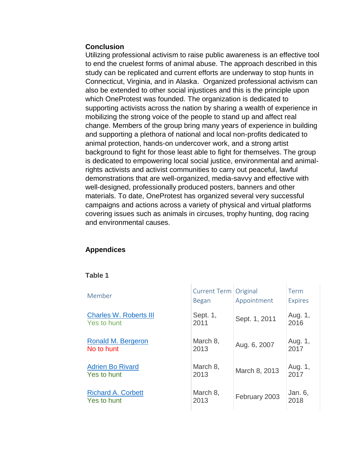#### **Conclusion**

Utilizing professional activism to raise public awareness is an effective tool to end the cruelest forms of animal abuse. The approach described in this study can be replicated and current efforts are underway to stop hunts in Connecticut, Virginia, and in Alaska. Organized professional activism can also be extended to other social injustices and this is the principle upon which OneProtest was founded. The organization is dedicated to supporting activists across the nation by sharing a wealth of experience in mobilizing the strong voice of the people to stand up and affect real change. Members of the group bring many years of experience in building and supporting a plethora of national and local non-profits dedicated to animal protection, hands-on undercover work, and a strong artist background to fight for those least able to fight for themselves. The group is dedicated to empowering local social justice, environmental and animalrights activists and activist communities to carry out peaceful, lawful demonstrations that are well-organized, media-savvy and effective with well-designed, professionally produced posters, banners and other materials. To date, OneProtest has organized several very successful campaigns and actions across a variety of physical and virtual platforms covering issues such as animals in circuses, trophy hunting, dog racing and environmental causes.

## **Appendices**

#### **Table 1**

| Member                        | Current Term   Original<br><b>Began</b> | Appointment   | Term<br><b>Expires</b> |
|-------------------------------|-----------------------------------------|---------------|------------------------|
| <b>Charles W. Roberts III</b> | Sept. 1,                                | Sept. 1, 2011 | Aug. 1,                |
| <b>Yes to hunt</b>            | 2011                                    |               | 2016                   |
| <b>Ronald M. Bergeron</b>     | March 8,                                | Aug. 6, 2007  | Aug. 1,                |
| <b>No to hunt</b>             | 2013                                    |               | 2017                   |
| <b>Adrien Bo Rivard</b>       | March 8,                                | March 8, 2013 | Aug. 1,                |
| <b>Yes to hunt</b>            | 2013                                    |               | 2017                   |
| <b>Richard A. Corbett</b>     | March 8,                                | February 2003 | Jan. 6,                |
| <b>Yes to hunt</b>            | 2013                                    |               | 2018                   |